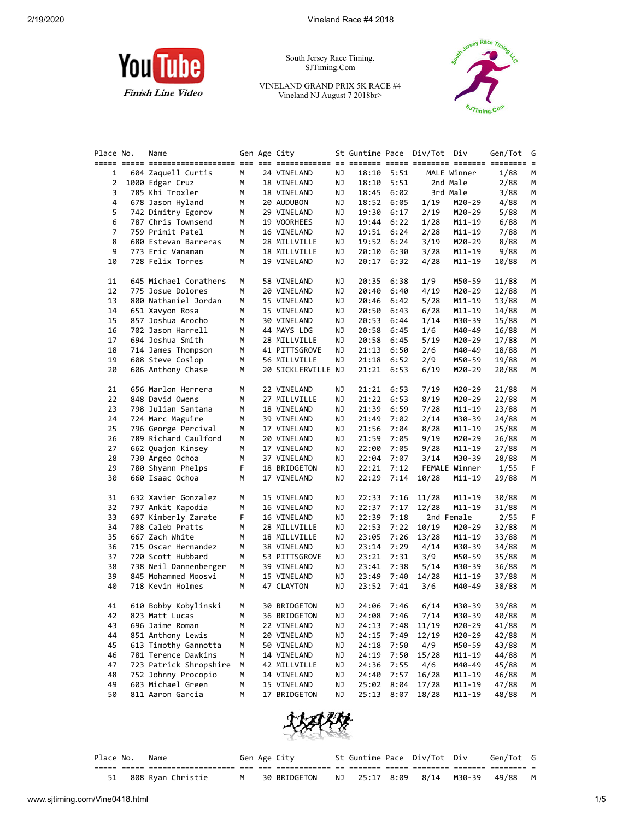

South Jersey Race Timing. SJTiming.Com

VINELAND GRAND PRIX 5K RACE #4 Vineland NJ August 7 2018br>



| Place No. | Name                                    |        | Gen Age City              |          | St Guntime Pace Div/Tot Div |              |              |                  | Gen/Tot        |
|-----------|-----------------------------------------|--------|---------------------------|----------|-----------------------------|--------------|--------------|------------------|----------------|
| 1         | 604 Zaquell Curtis                      | М      | 24 VINELAND               | ΝJ       |                             | 18:10 5:51   |              | MALE Winner      | 1/88           |
| 2         | 1000 Edgar Cruz                         | М      | 18 VINELAND               | ΝJ       | 18:10                       | 5:51         |              | 2nd Male         | 2/88           |
| 3         | 785 Khi Troxler                         | М      | 18 VINELAND               | ΝJ       | 18:45                       | 6:02         |              | 3rd Male         | 3/88           |
| 4         | 678 Jason Hyland                        | М      | 20 AUDUBON                | ΝJ       | 18:52                       | 6:05         | 1/19         | M20-29           | 4/88           |
|           |                                         |        |                           |          |                             |              |              |                  |                |
| 5         | 742 Dimitry Egorov                      | м      | 29 VINELAND               | ΝJ       | 19:30                       | 6:17         | 2/19         | M20-29           | 5/88           |
| 6         | 787 Chris Townsend                      | м      | 19 VOORHEES               | ΝJ       | 19:44                       | 6:22         | 1/28         | M11-19           | 6/88           |
| 7         | 759 Primit Patel                        | м      | 16 VINELAND               | ΝJ       | 19:51                       | 6:24         | 2/28         | M11-19           | 7/88           |
| 8         | 680 Estevan Barreras                    | М      | 28 MILLVILLE              | ΝJ       | 19:52                       | 6:24         | 3/19         | M20-29           | 8/88           |
| 9         | 773 Eric Vanaman                        | м      | 18 MILLVILLE              | ΝJ       | 20:10                       | 6:30         | 3/28         | M11-19           | 9/88           |
| 10        | 728 Felix Torres                        | М      | 19 VINELAND               | ΝJ       | 20:17                       | 6:32         | 4/28         | M11-19           | 10/88          |
| 11        | 645 Michael Corathers                   | м      | 58 VINELAND               | ΝJ       | 20:35                       | 6:38         | 1/9          | M50-59           | 11/88          |
| 12        | 775 Josue Dolores                       | м      | 20 VINELAND               | ΝJ       | 20:40                       | 6:40         | 4/19         | M20-29           | 12/88          |
| 13        | 800 Nathaniel Jordan                    | М      | 15 VINELAND               | ΝJ       | 20:46                       | 6:42         | 5/28         | M11-19           | 13/88          |
| 14        | 651 Xavyon Rosa                         | м      | 15 VINELAND               | ΝJ       | 20:50                       | 6:43         | 6/28         | M11-19           | 14/88          |
| 15        | 857 Joshua Arocho                       | м      | 30 VINELAND               | ΝJ       | 20:53                       | 6:44         | 1/14         | M30-39           | 15/88          |
| 16        | 702 Jason Harrell                       | м      | 44 MAYS LDG               | ΝJ       | 20:58                       | 6:45         | 1/6          | M40-49           | 16/88          |
| 17        | 694 Joshua Smith                        | М      | 28 MILLVILLE              | ΝJ       | 20:58                       | 6:45         | 5/19         | M20-29           | 17/88          |
| 18        | 714 James Thompson                      | М      | 41 PITTSGROVE             | ΝJ       | 21:13                       | 6:50         | 2/6          | M40-49           | 18/88          |
| 19        | 608 Steve Coslop                        | М      | 56 MILLVILLE              | ΝJ       | 21:18                       | 6:52         | 2/9          | M50-59           | 19/88          |
| 20        | 606 Anthony Chase                       | М      | 20 SICKLERVILLE NJ        |          |                             | 21:21 6:53   | 6/19         | M20-29           | 20/88          |
|           |                                         |        |                           |          |                             |              |              |                  |                |
| 21        | 656 Marlon Herrera                      | м      | 22 VINELAND               | ΝJ       | 21:21                       | 6:53         | 7/19         | M20-29           | 21/88          |
| 22        | 848 David Owens                         | м      | 27 MILLVILLE              | ΝJ       | 21:22                       | 6:53         | 8/19         | M20-29           | 22/88          |
| 23        | 798 Julian Santana                      | М      | 18 VINELAND               | ΝJ       | 21:39                       | 6:59         | 7/28         | M11-19           | 23/88          |
| 24        | 724 Marc Maguire                        | м      | 39 VINELAND               | ΝJ       | 21:49                       | 7:02         | 2/14         | M30-39           | 24/88          |
| 25        | 796 George Percival                     | м      | 17 VINELAND               | ΝJ       | 21:56                       | 7:04         | 8/28         | M11-19           | 25/88          |
| 26        | 789 Richard Caulford                    | м      | 20 VINELAND               | ΝJ       | 21:59                       | 7:05         | 9/19         | M20-29           | 26/88          |
| 27        | 662 Quajon Kinsey                       | м      | 17 VINELAND               | ΝJ       | 22:00                       | 7:05         | 9/28         | M11-19           | 27/88          |
| 28        | 730 Argeo Ochoa                         | м      | 37 VINELAND               | ΝJ       | 22:04                       | 7:07         | 3/14         | M30-39           | 28/88          |
| 29        | 780 Shyann Phelps                       | F      | 18 BRIDGETON              | ΝJ       | 22:21                       | 7:12         |              | FEMALE Winner    | 1/55           |
| 30        | 660 Isaac Ochoa                         | М      | 17 VINELAND               | ΝJ       | 22:29                       | 7:14         | 10/28        | M11-19           | 29/88          |
| 31        | 632 Xavier Gonzalez                     | м      | 15 VINELAND               | ΝJ       | 22:33                       | 7:16         | 11/28        | M11-19           | 30/88          |
| 32        | 797 Ankit Kapodia                       | м      | 16 VINELAND               | ΝJ       | 22:37                       | 7:17         | 12/28        | M11-19           | 31/88          |
| 33        | 697 Kimberly Zarate                     | F      | 16 VINELAND               | ΝJ       | 22:39                       | 7:18         |              | 2nd Female       | 2/55           |
| 34        | 708 Caleb Pratts                        | м      | 28 MILLVILLE              | ΝJ       | 22:53                       | 7:22         | 10/19        | M20-29           | 32/88          |
| 35        | 667 Zach White                          | м      | 18 MILLVILLE              |          |                             | 7:26         | 13/28        |                  |                |
|           |                                         |        |                           | ΝJ       | 23:05                       |              |              | M11-19           | 33/88          |
| 36        | 715 Oscar Hernandez                     | М      | 38 VINELAND               | ΝJ       | 23:14                       | 7:29         | 4/14         | M30-39           | 34/88          |
| 37        | 720 Scott Hubbard                       | м      | 53 PITTSGROVE             | ΝJ       | 23:21                       | 7:31         | 3/9          | M50-59           | 35/88          |
| 38        | 738 Neil Dannenberger                   | м      | 39 VINELAND               | ΝJ       | 23:41                       | 7:38         | 5/14         | M30-39           | 36/88          |
| 39<br>40  | 845 Mohammed Moosvi<br>718 Kevin Holmes | М<br>М | 15 VINELAND<br>47 CLAYTON | ΝJ<br>ΝJ | 23:49<br>23:52              | 7:40<br>7:41 | 14/28<br>3/6 | M11-19<br>M40-49 | 37/88<br>38/88 |
|           |                                         |        |                           |          |                             |              |              |                  |                |
| 41        | 610 Bobby Kobylinski                    | м      | 30 BRIDGETON              | ΝJ       |                             | 24:06 7:46   | 6/14         | M30-39           | 39/88          |
| 42        | 823 Matt Lucas                          | M      | 36 BRIDGETON              | ΝJ       | 24:08                       | 7:46         | 7714         | M30-39           | 40/88          |
| 43        | 696 Jaime Roman                         | м      | 22 VINELAND               | ΝJ       | 24:13                       | 7:48         | 11/19        | M20-29           | 41/88          |
| 44        | 851 Anthony Lewis                       | м      | 20 VINELAND               | ΝJ       | 24:15                       | 7:49         | 12/19        | M20-29           | 42/88          |
| 45        | 613 Timothy Gannotta                    | м      | 50 VINELAND               | ΝJ       | 24:18                       | 7:50         | 4/9          | M50-59           | 43/88          |
| 46        | 781 Terence Dawkins                     | М      | 14 VINELAND               | ΝJ       | 24:19                       | 7:50         | 15/28        | M11-19           | 44/88          |
| 47        | 723 Patrick Shropshire                  | М      | 42 MILLVILLE              | ΝJ       | 24:36                       | 7:55         | 4/6          | M40-49           | 45/88          |
| 48        | 752 Johnny Procopio                     | М      | 14 VINELAND               | ΝJ       | 24:40                       | 7:57         | 16/28        | M11-19           | 46/88          |
| 49        | 603 Michael Green                       | м      | 15 VINELAND               | ΝJ       | 25:02                       | 8:04         | 17/28        | M11-19           | 47/88          |
| 50        | 811 Aaron Garcia                        | М      | 17 BRIDGETON              | ΝJ       | 25:13                       | 8:07         | 18/28        | M11-19           | 48/88          |



| Place No. | Name                 |  | Gen Age City |  | St Guntime Pace Div/Tot Div | Gen/Tot G                       |  |
|-----------|----------------------|--|--------------|--|-----------------------------|---------------------------------|--|
|           |                      |  |              |  |                             |                                 |  |
|           | 51 808 Ryan Christie |  | 30 BRIDGETON |  |                             | NJ 25:17 8:09 8/14 M30-39 49/88 |  |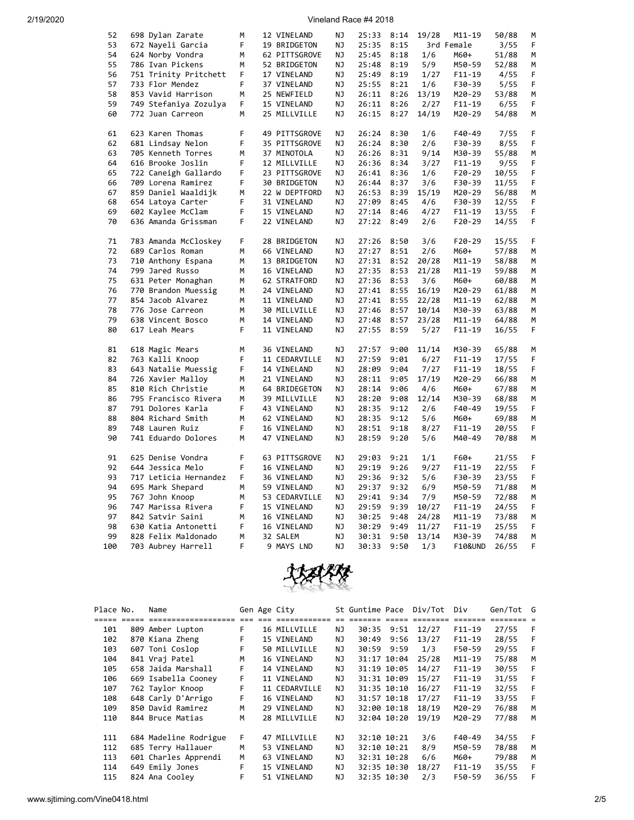| 52  | 698 Dylan Zarate                           | M | 12 VINELAND   | ΝJ        | 25:33      | 8:14 | 19/28 | M11-19             | 50/88          | М |
|-----|--------------------------------------------|---|---------------|-----------|------------|------|-------|--------------------|----------------|---|
| 53  | 672 Nayeli Garcia                          | F | 19 BRIDGETON  | <b>NJ</b> | 25:35      | 8:15 |       | 3rd Female         | 3/55           | F |
| 54  | 624 Norby Vondra                           | М | 62 PITTSGROVE | ΝJ        | 25:45      | 8:18 | 1/6   | M60+               | 51/88          | М |
| 55  | 786 Ivan Pickens                           | М | 52 BRIDGETON  | ΝJ        | 25:48      | 8:19 | 5/9   | M50-59             | 52/88          | М |
| 56  | 751 Trinity Pritchett                      | F | 17 VINELAND   | <b>NJ</b> | 25:49      | 8:19 | 1/27  | $F11 - 19$         | 4/55           | F |
| 57  | 733 Flor Mendez                            | F | 37 VINELAND   | ΝJ        | 25:55      | 8:21 | 1/6   | F30-39             | 5/55           | F |
| 58  | 853 Vavid Harrison                         | M | 25 NEWFIELD   | ΝJ        | 26:11      | 8:26 | 13/19 | M20-29             | 53/88          | M |
| 59  | 749 Stefaniya Zozulya                      | F | 15 VINELAND   | NJ        | 26:11      | 8:26 | 2/27  | $F11 - 19$         | 6/55           | F |
| 60  | 772 Juan Carreon                           | М | 25 MILLVILLE  | ΝJ        | 26:15      | 8:27 | 14/19 | M20-29             | 54/88          | М |
|     |                                            |   |               |           |            |      |       |                    |                |   |
| 61  | 623 Karen Thomas                           | F | 49 PITTSGROVE | NJ        | 26:24      | 8:30 | 1/6   | $F40-49$           | 7/55           | F |
| 62  | 681 Lindsay Nelon                          | F | 35 PITTSGROVE | ΝJ        | 26:24      | 8:30 | 2/6   | F30-39             | 8/55           | F |
| 63  | 705 Kenneth Torres                         | М | 37 MINOTOLA   | ΝJ        | 26:26      | 8:31 | 9/14  | M30-39             | 55/88          | М |
| 64  | 616 Brooke Joslin                          | F | 12 MILLVILLE  | ΝJ        | 26:36      | 8:34 | 3/27  | $F11 - 19$         | 9/55           | F |
| 65  |                                            | F | 23 PITTSGROVE | ΝJ        | 26:41      | 8:36 | 1/6   | $F20-29$           |                | F |
| 66  | 722 Caneigh Gallardo<br>709 Lorena Ramirez | F | 30 BRIDGETON  | NJ        | 26:44      | 8:37 | 3/6   | F30-39             | 10/55<br>11/55 | F |
|     |                                            |   |               |           |            |      |       |                    |                |   |
| 67  | 859 Daniel Waaldijk                        | М | 22 W DEPTFORD | <b>NJ</b> | 26:53      | 8:39 | 15/19 | M20-29             | 56/88          | М |
| 68  | 654 Latoya Carter                          | F | 31 VINELAND   | ΝJ        | 27:09      | 8:45 | 4/6   | F30-39             | 12/55          | F |
| 69  | 602 Kaylee McClam                          | F | 15 VINELAND   | ΝJ        | 27:14      | 8:46 | 4/27  | $F11 - 19$         | 13/55          | F |
| 70  | 636 Amanda Grissman                        | F | 22 VINELAND   | ΝJ        | 27:22      | 8:49 | 2/6   | $F20-29$           | 14/55          | F |
|     |                                            | F |               | ΝJ        |            |      |       |                    |                | F |
| 71  | 783 Amanda McCloskey                       |   | 28 BRIDGETON  |           | 27:26      | 8:50 | 3/6   | $F20-29$           | 15/55          |   |
| 72  | 689 Carlos Roman                           | М | 66 VINELAND   | ΝJ        | 27:27      | 8:51 | 2/6   | M60+               | 57/88          | М |
| 73  | 710 Anthony Espana                         | M | 13 BRIDGETON  | ΝJ        | 27:31      | 8:52 | 20/28 | M11-19             | 58/88          | M |
| 74  | 799 Jared Russo                            | М | 16 VINELAND   | ΝJ        | 27:35      | 8:53 | 21/28 | M11-19             | 59/88          | М |
| 75  | 631 Peter Monaghan                         | М | 62 STRATFORD  | ΝJ        | 27:36      | 8:53 | 3/6   | M60+               | 60/88          | М |
| 76  | 770 Brandon Muessig                        | М | 24 VINELAND   | ΝJ        | 27:41      | 8:55 | 16/19 | M20-29             | 61/88          | М |
| 77  | 854 Jacob Alvarez                          | M | 11 VINELAND   | ΝJ        | 27:41      | 8:55 | 22/28 | M11-19             | 62/88          | M |
| 78  | 776 Jose Carreon                           | M | 30 MILLVILLE  | ΝJ        | 27:46 8:57 |      | 10/14 | M30-39             | 63/88          | M |
| 79  | 638 Vincent Bosco                          | M | 14 VINELAND   | NJ        | 27:48      | 8:57 | 23/28 | M11-19             | 64/88          | М |
| 80  | 617 Leah Mears                             | F | 11 VINELAND   | ΝJ        | 27:55      | 8:59 | 5/27  | $F11 - 19$         | 16/55          | F |
|     |                                            |   |               |           |            |      |       |                    |                |   |
| 81  | 618 Magic Mears                            | M | 36 VINELAND   | ΝJ        | 27:57      | 9:00 | 11/14 | M30-39             | 65/88          | М |
| 82  | 763 Kalli Knoop                            | F | 11 CEDARVILLE | ΝJ        | 27:59      | 9:01 | 6/27  | $F11 - 19$         | 17/55          | F |
| 83  | 643 Natalie Muessig                        | F | 14 VINELAND   | ΝJ        | 28:09      | 9:04 | 7/27  | $F11 - 19$         | 18/55          | F |
| 84  | 726 Xavier Malloy                          | М | 21 VINELAND   | ΝJ        | 28:11      | 9:05 | 17/19 | M20-29             | 66/88          | М |
| 85  | 810 Rich Christie                          | M | 64 BRIDEGETON | ΝJ        | 28:14      | 9:06 | 4/6   | M60+               | 67/88          | M |
| 86  | 795 Francisco Rivera                       | M | 39 MILLVILLE  | ΝJ        | 28:20      | 9:08 | 12/14 | M30-39             | 68/88          | M |
| 87  | 791 Dolores Karla                          | F | 43 VINELAND   | NJ        | 28:35      | 9:12 | 2/6   | $F40-49$           | 19/55          | F |
| 88  | 804 Richard Smith                          | М | 62 VINELAND   | ΝJ        | 28:35      | 9:12 | 5/6   | M60+               | 69/88          | М |
| 89  | 748 Lauren Ruiz                            | F | 16 VINELAND   | ΝJ        | 28:51      | 9:18 | 8/27  | $F11 - 19$         | 20/55          | F |
| 90  | 741 Eduardo Dolores                        | M | 47 VINELAND   | ΝJ        | 28:59      | 9:20 | 5/6   | M40-49             | 70/88          | M |
|     |                                            |   |               |           |            |      |       |                    |                |   |
| 91  | 625 Denise Vondra                          | F | 63 PITTSGROVE | <b>NJ</b> | 29:03      | 9:21 | 1/1   | F60+               | 21/55          | F |
| 92  | 644 Jessica Melo                           | F | 16 VINELAND   | ΝJ        | 29:19      | 9:26 | 9/27  | $F11 - 19$         | 22/55          | F |
| 93  | 717 Leticia Hernandez                      | F | 36 VINELAND   | ΝJ        | 29:36 9:32 |      | 5/6   | F30-39             | 23/55          | F |
| 94  | 695 Mark Shepard                           | М | 59 VINELAND   | ΝJ        | 29:37      | 9:32 | 6/9   | M50-59             | 71/88          | M |
| 95  | 767 John Knoop                             | м | 53 CEDARVILLE | ΝJ        | 29:41      | 9:34 | 7/9   | M50-59             | 72/88          | М |
| 96  | 747 Marissa Rivera                         | F | 15 VINELAND   | NJ        | 29:59      | 9:39 | 10/27 | $F11 - 19$         | 24/55          | F |
| 97  | 842 Satvir Saini                           | М | 16 VINELAND   | ΝJ        | 30:25      | 9:48 | 24/28 | M11-19             | 73/88          | М |
| 98  | 630 Katia Antonetti                        | F | 16 VINELAND   | ΝJ        | 30:29      | 9:49 | 11/27 | $F11 - 19$         | 25/55          | F |
| 99  | 828 Felix Maldonado                        | M | 32 SALEM      | NJ        | 30:31      | 9:50 | 13/14 | M30-39             | 74/88          | M |
| 100 | 703 Aubrey Harrell                         | F | 9 MAYS LND    | <b>NJ</b> | 30:33      | 9:50 | 1/3   | <b>F10&amp;UND</b> | 26/55          | F |
|     |                                            |   |               |           |            |      |       |                    |                |   |



| Place No. | Name                  |      | Gen Age City  |     | St Guntime Pace |             | Div/Tot  | Div        | Gen/Tot G |    |
|-----------|-----------------------|------|---------------|-----|-----------------|-------------|----------|------------|-----------|----|
|           | ====================  | $==$ |               |     |                 |             | -------- | --------   |           |    |
| 101       | 809 Amber Lupton      | F.   | 16 MILLVILLE  | ΝJ  | 30:35           | 9:51        | 12/27    | $F11-19$   | 27/55     | -F |
| 102       | 870 Kiana Zheng       | F    | 15 VINELAND   | NJ  | 30:49           | 9:56        | 13/27    | $F11-19$   | 28/55     | F  |
| 103       | 607 Toni Coslop       | F.   | 50 MILLVILLE  | NJ  | 30:59           | 9:59        | 1/3      | F50-59     | 29/55     | -F |
| 104       | 841 Vrai Patel        | M    | 16 VINELAND   | NJ. |                 | 31:17 10:04 | 25/28    | $M11 - 19$ | 75/88     | м  |
| 105       | 658 Jaida Marshall    | F.   | 14 VINELAND   | NJ. |                 | 31:19 10:05 | 14/27    | $F11-19$   | 30/55     | F  |
| 106       | 669 Isabella Cooney   | F.   | 11 VINELAND   | NJ. |                 | 31:31 10:09 | 15/27    | $F11-19$   | 31/55     | -F |
| 107       | 762 Taylor Knoop      | F    | 11 CEDARVILLE | ΝJ  |                 | 31:35 10:10 | 16/27    | $F11-19$   | 32/55     | F  |
| 108       | 648 Carly D'Arrigo    | F    | 16 VINELAND   | ΝJ  |                 | 31:57 10:18 | 17/27    | $F11-19$   | 33/55     | F  |
| 109       | 850 David Ramirez     | М    | 29 VINELAND   | NJ. |                 | 32:00 10:18 | 18/19    | $M20 - 29$ | 76/88     | м  |
| 110       | 844 Bruce Matias      | M    | 28 MILLVILLE  | ΝJ  |                 | 32:04 10:20 | 19/19    | M20-29     | 77/88     | м  |
| 111       | 684 Madeline Rodrigue | F.   | 47 MILLVILLE  | NJ  |                 | 32:10 10:21 | 3/6      | $F40-49$   | 34/55     | F  |
| 112       | 685 Terry Hallauer    | м    | 53 VINELAND   | NJ  |                 | 32:10 10:21 | 8/9      | M50-59     | 78/88     | M  |
| 113       | 601 Charles Apprendi  | М    | 63 VINELAND   | NJ  |                 | 32:31 10:28 | 6/6      | M60+       | 79/88     | M  |
| 114       | 649 Emily Jones       | F.   | 15 VINELAND   | NJ  |                 | 32:35 10:30 | 18/27    | $F11-19$   | 35/55     | F  |
| 115       | 824 Ana Cooley        | F    | 51 VINELAND   | NJ. |                 | 32:35 10:30 | 2/3      | F50-59     | 36/55     | F  |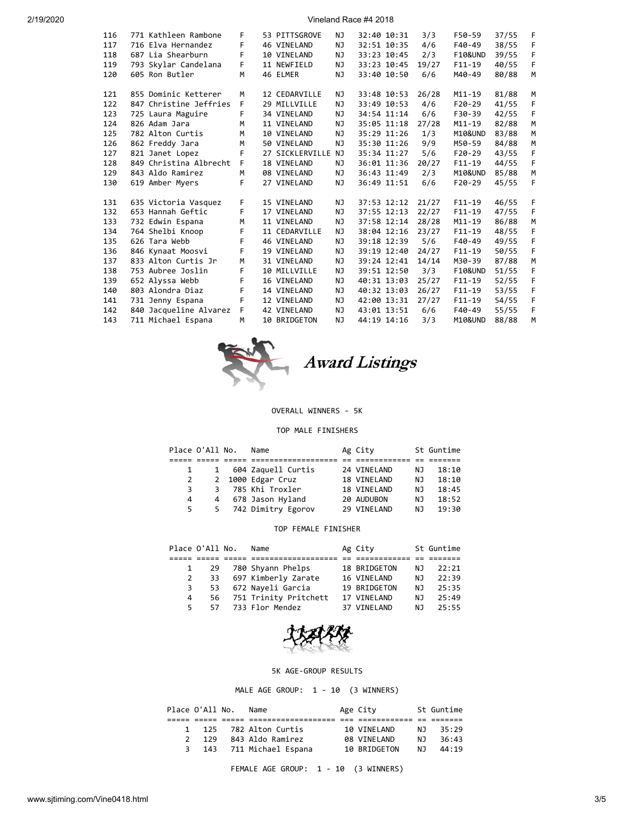| 2/19/2020 |  |  |
|-----------|--|--|
|           |  |  |

| 116 | 771 Kathleen Rambone   | F | 53 PITTSGROVE   | NJ. |             | 32:40 10:31 | 3/3   | F50-59             | 37/55 | F |
|-----|------------------------|---|-----------------|-----|-------------|-------------|-------|--------------------|-------|---|
| 117 | 716 Elva Hernandez     | F | 46 VINELAND     | NJ. |             | 32:51 10:35 | 4/6   | $F40-49$           | 38/55 | F |
| 118 | 687 Lia Shearburn      | F | 10 VINELAND     | NJ. |             | 33:23 10:45 | 2/3   | <b>F10&amp;UND</b> | 39/55 | F |
| 119 | 793 Skylar Candelana   | F | 11 NEWFIELD     | NJ. |             | 33:23 10:45 | 19/27 | $F11-19$           | 40/55 | F |
| 120 | 605 Ron Butler         | M | 46 ELMER        | NJ  |             | 33:40 10:50 | 6/6   | M40-49             | 80/88 | M |
|     |                        |   |                 |     |             |             |       |                    |       |   |
| 121 | 855 Dominic Ketterer   | M | 12 CEDARVILLE   | NJ. |             | 33:48 10:53 | 26/28 | $M11 - 19$         | 81/88 | M |
| 122 | 847 Christine Jeffries | F | 29 MILLVILLE    | NJ. |             | 33:49 10:53 | 4/6   | $F20-29$           | 41/55 | F |
| 123 | 725 Laura Maguire      | F | 34 VINELAND     | NJ  |             | 34:54 11:14 | 6/6   | F30-39             | 42/55 | F |
| 124 | 826 Adam Jara          | M | 11 VINELAND     | NJ  |             | 35:05 11:18 | 27/28 | $M11 - 19$         | 82/88 | M |
| 125 | 782 Alton Curtis       | M | 10 VINELAND     | NJ  |             | 35:29 11:26 | 1/3   | M10&UND            | 83/88 | M |
| 126 | 862 Freddy Jara        | M | 50 VINELAND     | NJ  |             | 35:30 11:26 | 9/9   | M50-59             | 84/88 | м |
| 127 | 821 Janet Lopez        | F | 27 SICKLERVILLE | NJ  |             | 35:34 11:27 | 5/6   | $F20-29$           | 43/55 | F |
| 128 | 849 Christina Albrecht | F | 18 VINELAND     | NJ. |             | 36:01 11:36 | 20/27 | $F11 - 19$         | 44/55 | F |
| 129 | 843 Aldo Ramirez       | M | 08 VINELAND     | NJ  |             | 36:43 11:49 | 2/3   | M10&UND            | 85/88 | M |
| 130 | 619 Amber Myers        | F | 27 VINELAND     | NJ  |             | 36:49 11:51 | 6/6   | $F20-29$           | 45/55 | F |
|     |                        |   |                 |     |             |             |       |                    |       |   |
| 131 | 635 Victoria Vasquez   | F | 15 VINELAND     | NJ. |             | 37:53 12:12 | 21/27 | $F11-19$           | 46/55 | F |
| 132 | 653 Hannah Geftic      | F | 17 VINELAND     | NJ  |             | 37:55 12:13 | 22/27 | $F11 - 19$         | 47/55 | F |
| 133 | 732 Edwin Espana       | M | 11 VINELAND     | NJ  |             | 37:58 12:14 | 28/28 | $M11 - 19$         | 86/88 | M |
| 134 | 764 Shelbi Knoop       | F | 11 CEDARVILLE   | NJ  |             | 38:04 12:16 | 23/27 | $F11 - 19$         | 48/55 | F |
| 135 | 626 Tara Webb          | F | 46 VINELAND     | NJ. |             | 39:18 12:39 | 5/6   | $F40-49$           | 49/55 | F |
| 136 | 846 Kynaat Moosvi      | F | 19 VINELAND     | NJ. |             | 39:19 12:40 | 24/27 | $F11 - 19$         | 50/55 | F |
| 137 | 833 Alton Curtis Jr    | M | 31 VINELAND     | NJ  |             | 39:24 12:41 | 14/14 | M30-39             | 87/88 | M |
| 138 | 753 Aubree Joslin      | F | 10 MILLVILLE    | NJ  |             | 39:51 12:50 | 3/3   | <b>F10&amp;UND</b> | 51/55 | F |
| 139 | 652 Alyssa Webb        | F | 16 VINELAND     | NJ. | 40:31 13:03 |             | 25/27 | $F11 - 19$         | 52/55 | F |
| 140 | 803 Alondra Diaz       | F | 14 VINELAND     | NJ  |             | 40:32 13:03 | 26/27 | $F11-19$           | 53/55 | F |
| 141 | 731 Jenny Espana       | F | 12 VINELAND     | NJ  |             | 42:00 13:31 | 27/27 | $F11 - 19$         | 54/55 | F |
| 142 | 840 Jacqueline Alvarez | F | 42 VINELAND     | NJ  | 43:01 13:51 |             | 6/6   | $F40-49$           | 55/55 | F |
| 143 | 711 Michael Espana     | M | 10 BRIDGETON    | NJ  | 44:19 14:16 |             | 3/3   | M10&UND            | 88/88 | M |
|     |                        |   |                 |     |             |             |       |                    |       |   |



Award Listings

### OVERALL WINNERS - 5K

### TOP MALE FINISHERS

| Place O'All No. |                | Name                 | Ag City     |     | St Guntime |
|-----------------|----------------|----------------------|-------------|-----|------------|
|                 |                |                      |             |     |            |
|                 | 1              | 604 Zaquell Curtis   | 24 VINELAND | NJ  | 18:10      |
| $2^{\circ}$     |                | 2 1000 Edgar Cruz    | 18 VINELAND | NJ  | 18:10      |
| 3.              | 3              | 785 Khi Troxler      | 18 VINELAND | NJ  | 18:45      |
| 4               | $\overline{4}$ | 678 Jason Hyland     | 20 AUDUBON  | NJ  | 18:52      |
| 5.              |                | 5 742 Dimitry Egorov | 29 VINELAND | N J | 19:30      |

### TOP FEMALE FINISHER

|    | Place O'All No. | Name                     | Ag City      |     | St Guntime |
|----|-----------------|--------------------------|--------------|-----|------------|
|    |                 |                          |              |     |            |
|    | 29              | 780 Shyann Phelps        | 18 BRIDGETON | NJ. | 22:21      |
| 2  |                 | 33 697 Kimberly Zarate   | 16 VINELAND  | NJ. | 22:39      |
| 3  |                 | 53 672 Nayeli Garcia     | 19 BRIDGETON | NJ. | 25:35      |
| 4  |                 | 56 751 Trinity Pritchett | 17 VINELAND  | N J | 25:49      |
| 5. |                 | 57 733 Flor Mendez       | 37 VTNFI AND | N J | 25:55      |



### 5K AGE-GROUP RESULTS

MALE AGE GROUP: 1 - 10 (3 WINNERS)

|   | Place O'All No. | Name                 | Age City     |     | St Guntime |
|---|-----------------|----------------------|--------------|-----|------------|
|   |                 |                      |              |     |            |
|   |                 | 125 782 Alton Curtis | 10 VINELAND  | N J | 35:29      |
|   | 129             | 843 Aldo Ramirez     | 08 VINELAND  | N J | 36:43      |
| 3 | 143             | 711 Michael Espana   | 10 BRIDGETON | N J | 44:19      |
|   |                 |                      |              |     |            |

FEMALE AGE GROUP: 1 - 10 (3 WINNERS)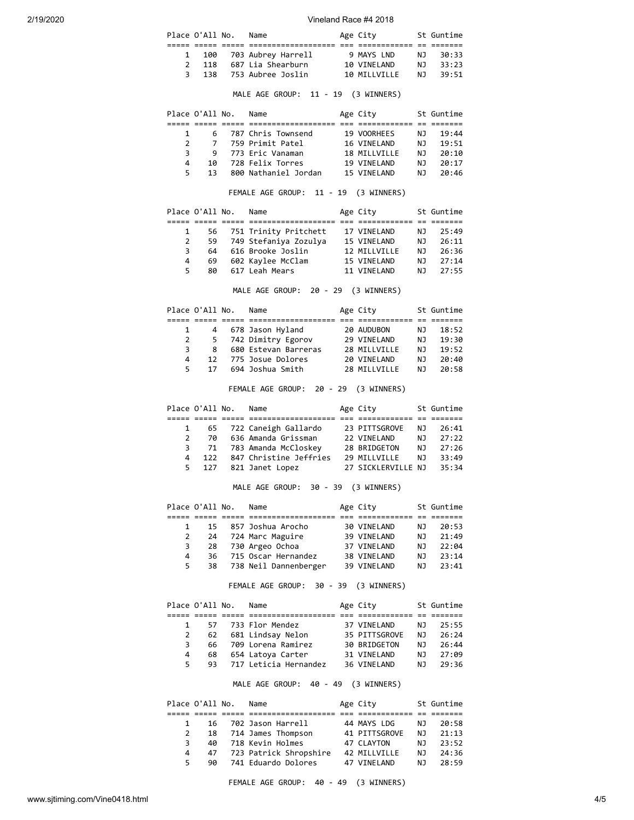|  | Place O'All No. | Name                     | Age City         |     | St Guntime |
|--|-----------------|--------------------------|------------------|-----|------------|
|  |                 |                          |                  |     |            |
|  |                 | 1 100 703 Aubrey Harrell | 9 MAYS LND       | N J | 30:33      |
|  | 118             | 687 Lia Shearburn        | 10 VINELAND      | N T | 33:23      |
|  | 3 138           | 753 Aubree Joslin        | 10 MTI I VTI I F | N T | 39:51      |

# MALE AGE GROUP: 11 - 19 (3 WINNERS)

|               | Place O'All No. |   | Name                 | Age City     |     | St Guntime |
|---------------|-----------------|---|----------------------|--------------|-----|------------|
|               |                 |   |                      |              |     |            |
|               |                 | 6 | 787 Chris Townsend   | 19 VOORHEES  | NJ. | 19:44      |
| $\mathcal{P}$ | 7               |   | 759 Primit Patel     | 16 VINELAND  | N J | 19:51      |
| ₹             | 9               |   | 773 Eric Vanaman     | 18 MILLVILLE | N J | 20:10      |
| 4             | 1Q              |   | 728 Felix Torres     | 19 VTNFI AND | N J | 20:17      |
| 5.            | 13              |   | 800 Nathaniel Jordan | 15 VTNFI AND | N٦  | 20:46      |

### FEMALE AGE GROUP: 11 - 19 (3 WINNERS)

|    | Place O'All No. | Name                     | Age City     |     | St Guntime |
|----|-----------------|--------------------------|--------------|-----|------------|
|    |                 |                          |              |     |            |
|    |                 | 56 751 Trinity Pritchett | 17 VINELAND  | NJ. | 25:49      |
| 2  | 59              | 749 Stefaniya Zozulya    | 15 VINELAND  | NJ. | 26:11      |
| 3  | 64              | 616 Brooke Joslin        | 12 MTIIVTIIF | N J | 26:36      |
| 4  | 69              | 602 Kaylee McClam        | 15 VINELAND  | NJ. | 27:14      |
| 5. | 80              | 617 Leah Mears           | 11 VTNFI AND | N J | 27:55      |

MALE AGE GROUP: 20 - 29 (3 WINNERS)

|    | Place O'All No. | Name                 | Age City     |     | St Guntime |
|----|-----------------|----------------------|--------------|-----|------------|
|    |                 |                      |              |     |            |
|    | 4               | 678 Jason Hyland     | 20 AUDUBON   | N J | 18:52      |
| 2  |                 | 5 742 Dimitry Egorov | 29 VINELAND  | NJ  | 19:30      |
| 3. | 8               | 680 Estevan Barreras | 28 MILLVILLE | N J | 19:52      |
| 4  | 12              | 775 Josue Dolores    | 20 VINELAND  | ΝJ  | 20:40      |
| 5. | 17              | 694 Joshua Smith     | 28 MTIIVTIIF | N T | 20:58      |

FEMALE AGE GROUP: 20 - 29 (3 WINNERS)

|               | Place O'All No. | Name                    | Age City           |     | St Guntime |
|---------------|-----------------|-------------------------|--------------------|-----|------------|
|               |                 |                         |                    |     |            |
|               |                 | 65 722 Caneigh Gallardo | 23 PITTSGROVE      | NJ. | 26:41      |
| $\mathcal{P}$ | 70              | 636 Amanda Grissman     | 22 VINELAND        | N J | 27:22      |
|               | 71<br>3         | 783 Amanda McCloskey    | 28 BRIDGETON       | NJ  | 27:26      |
| 4             | 122             | 847 Christine Jeffries  | 29 MILLVILLE       | NJ. | 33:49      |
| 5.            | 127             | 821 Janet Lopez         | 27 SICKLERVILLE NJ |     | 35:34      |

### MALE AGE GROUP: 30 - 39 (3 WINNERS)

|   |     |              | Name                  |                                                                                                                   |                                                                                     | St Guntime |
|---|-----|--------------|-----------------------|-------------------------------------------------------------------------------------------------------------------|-------------------------------------------------------------------------------------|------------|
|   |     |              |                       |                                                                                                                   |                                                                                     |            |
|   |     |              |                       |                                                                                                                   | NJ.                                                                                 | 20:53      |
|   |     |              |                       |                                                                                                                   | NJ.                                                                                 | 21:49      |
|   |     |              |                       |                                                                                                                   | NJ.                                                                                 | 22:04      |
| 4 | 36. |              |                       |                                                                                                                   | N J                                                                                 | 23:14      |
|   |     |              |                       |                                                                                                                   | N J                                                                                 | 23:41      |
|   |     | 2<br>3<br>5. | Place O'All No.<br>28 | 15 857 Joshua Arocho<br>24 724 Marc Maguire<br>730 Argeo Ochoa<br>715 Oscar Hernandez<br>38 738 Neil Dannenberger | Age City<br>30 VINELAND<br>39 VINELAND<br>37 VINELAND<br>38 VINELAND<br>39 VINELAND |            |

### FEMALE AGE GROUP: 30 - 39 (3 WINNERS)

|    | Place O'All No. | Name                  | Age City      |                | St Guntime |
|----|-----------------|-----------------------|---------------|----------------|------------|
|    |                 |                       |               |                |            |
|    |                 | 57 733 Flor Mendez    | 37 VINELAND   | N J            | 25:55      |
| 2  | 62              | 681 Lindsay Nelon     | 35 PITTSGROVE | N <sub>1</sub> | 26:24      |
| 3  | 66.             | 709 Lorena Ramirez    | 30 BRIDGETON  | N J            | 26:44      |
| 4  | 68              | 654 Latoya Carter     | 31 VINELAND   | N J            | 27:09      |
| 5. | 93.             | 717 Leticia Hernandez | 36 VINELAND   | N T            | 79:36      |

MALE AGE GROUP: 40 - 49 (3 WINNERS)

|    | Place O'All No. | Name                   | Age City      |     | St Guntime |
|----|-----------------|------------------------|---------------|-----|------------|
|    |                 |                        |               |     |            |
|    | 16              | 702 Jason Harrell      | 44 MAYS LDG   | N J | 20:58      |
|    | 18              | 714 James Thompson     | 41 PITTSGROVE | N J | 21:13      |
| 3. | 40              | 718 Kevin Holmes       | 47 CLAYTON    | N J | 23:52      |
| 4  | 47              | 723 Patrick Shropshire | 42 MILLVILLE  | NJ. | 24:36      |
| 5. | 90              | 741 Eduardo Dolores    | 47 VINELAND   | N J | 28:59      |